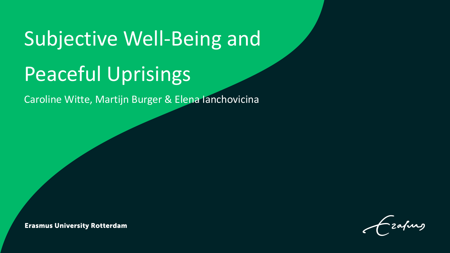# Subjective Well-Being and Peaceful Uprisings

Caroline Witte, Martijn Burger & Elena Ianchovicina

**Erasmus University Rotterdam**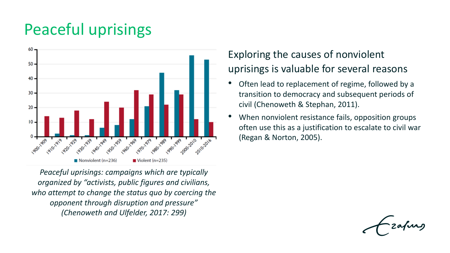## Peaceful uprisings



*Peaceful uprisings: campaigns which are typically organized by "activists, public figures and civilians, who attempt to change the status quo by coercing the opponent through disruption and pressure" (Chenoweth and Ulfelder, 2017: 299)*

#### Exploring the causes of nonviolent uprisings is valuable for several reasons

- Often lead to replacement of regime, followed by a transition to democracy and subsequent periods of civil (Chenoweth & Stephan, 2011).
- When nonviolent resistance fails, opposition groups often use this as a justification to escalate to civil war (Regan & Norton, 2005).

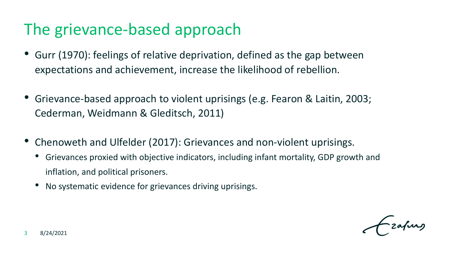#### The grievance-based approach

- Gurr (1970): feelings of relative deprivation, defined as the gap between expectations and achievement, increase the likelihood of rebellion.
- Grievance-based approach to violent uprisings (e.g. Fearon & Laitin, 2003; Cederman, Weidmann & Gleditsch, 2011)
- Chenoweth and Ulfelder (2017): Grievances and non-violent uprisings.
	- Grievances proxied with objective indicators, including infant mortality, GDP growth and inflation, and political prisoners.
	- No systematic evidence for grievances driving uprisings.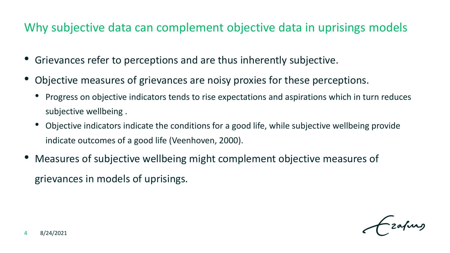#### Why subjective data can complement objective data in uprisings models

- Grievances refer to perceptions and are thus inherently subjective.
- Objective measures of grievances are noisy proxies for these perceptions.
	- Progress on objective indicators tends to rise expectations and aspirations which in turn reduces subjective wellbeing .
	- Objective indicators indicate the conditions for a good life, while subjective wellbeing provide indicate outcomes of a good life (Veenhoven, 2000).
- Measures of subjective wellbeing might complement objective measures of grievances in models of uprisings.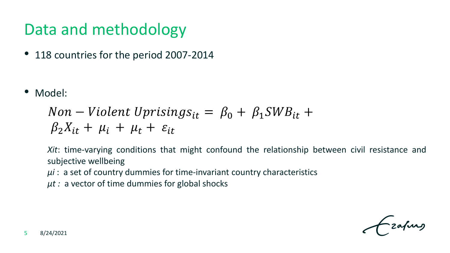### Data and methodology

• 118 countries for the period 2007-2014

• Model:

$$
Non-Violet \; Uprisings_{it} = \beta_0 + \beta_1 SWB_{it} + \beta_2 X_{it} + \mu_i + \varepsilon_{it}
$$

*Xit*: time-varying conditions that might confound the relationship between civil resistance and subjective wellbeing

- *μi* : a set of country dummies for time-invariant country characteristics
- *μt :* a vector of time dummies for global shocks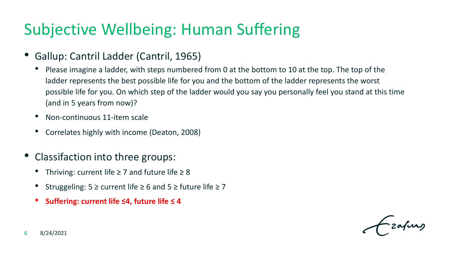## Subjective Wellbeing: Human Suffering

- Gallup: Cantril Ladder (Cantril, 1965)
	- Please imagine a ladder, with steps numbered from 0 at the bottom to 10 at the top. The top of the ladder represents the best possible life for you and the bottom of the ladder represents the worst possible life for you. On which step of the ladder would you say you personally feel you stand at this time (and in 5 years from now)?
	- Non-continuous 11-item scale
	- Correlates highly with income (Deaton, 2008)
- Classifaction into three groups:
	- Thriving: current life  $\geq 7$  and future life  $\geq 8$
	- Struggeling:  $5 ≥$  current life  $≥$  6 and  $5 ≥$  future life  $≥$  7
	- **Suffering: current life ≤4, future life ≤ 4**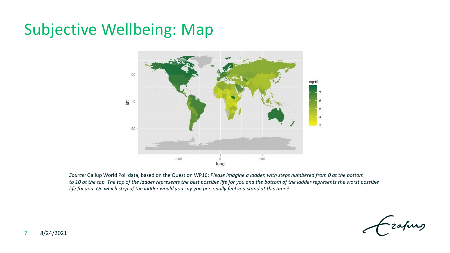#### Subjective Wellbeing: Map



*Source:* Gallup World Poll data, based on the Question WP16: *Please imagine a ladder, with steps numbered from 0 at the bottom to 10 at the top. The top of the ladder represents the best possible life for you and the bottom of the ladder represents the worst possible life for you. On which step of the ladder would you say you personally feel you stand at this time?*

zafung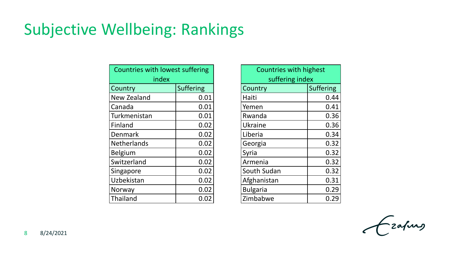#### Subjective Wellbeing: Rankings

| Countries with lowest suffering |                  | Countries with highest |                  |  |
|---------------------------------|------------------|------------------------|------------------|--|
| index                           |                  | suffering index        |                  |  |
| Country                         | <b>Suffering</b> | Country                | <b>Suffering</b> |  |
| <b>New Zealand</b>              | 0.01             | Haiti                  | 0.44             |  |
| Canada                          | 0.01             | Yemen                  | 0.41             |  |
| Turkmenistan                    | 0.01             | Rwanda                 | 0.36             |  |
| Finland                         | 0.02             | Ukraine                | 0.36             |  |
| <b>Denmark</b>                  | 0.02             | Liberia                | 0.34             |  |
| <b>Netherlands</b>              | 0.02             | Georgia                | 0.32             |  |
| <b>Belgium</b>                  | 0.02             | Syria                  | 0.32             |  |
| Switzerland                     | 0.02             | Armenia                | 0.32             |  |
| Singapore                       | 0.02             | South Sudan            | 0.32             |  |
| Uzbekistan                      | 0.02             | Afghanistan            | 0.31             |  |
| Norway                          | 0.02             | <b>Bulgaria</b>        | 0.29             |  |
| Thailand                        | 0.02             | Zimbabwe               | 0.29             |  |

| Countries with highest |                  |  |  |  |
|------------------------|------------------|--|--|--|
| suffering index        |                  |  |  |  |
| Country                | <b>Suffering</b> |  |  |  |
| Haiti                  | 0.44             |  |  |  |
| Yemen                  | 0.41             |  |  |  |
| Rwanda                 | 0.36             |  |  |  |
| Ukraine                | 0.36             |  |  |  |
| Liberia                | 0.34             |  |  |  |
| Georgia                | 0.32             |  |  |  |
| Syria                  | 0.32             |  |  |  |
| Armenia                | 0.32             |  |  |  |
| South Sudan            | 0.32             |  |  |  |
| Afghanistan            | 0.31             |  |  |  |
| <b>Bulgaria</b>        | 0.29             |  |  |  |
| Zimbabwe<br>0.29       |                  |  |  |  |

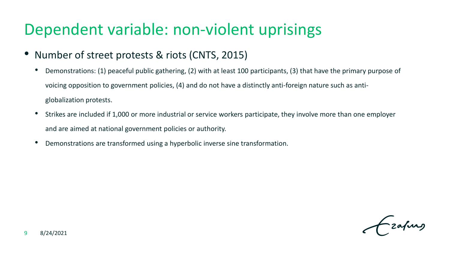### Dependent variable: non-violent uprisings

- Number of street protests & riots (CNTS, 2015)
	- Demonstrations: (1) peaceful public gathering, (2) with at least 100 participants, (3) that have the primary purpose of voicing opposition to government policies, (4) and do not have a distinctly anti-foreign nature such as antiglobalization protests.
	- Strikes are included if 1,000 or more industrial or service workers participate, they involve more than one employer and are aimed at national government policies or authority.
	- Demonstrations are transformed using a hyperbolic inverse sine transformation.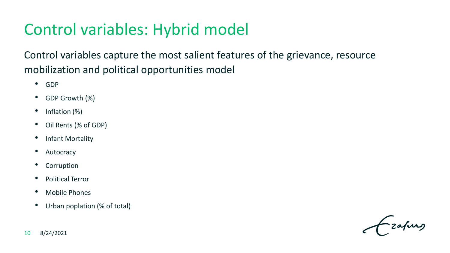### Control variables: Hybrid model

Control variables capture the most salient features of the grievance, resource mobilization and political opportunities model

- GDP
- GDP Growth (%)
- Inflation (%)
- Oil Rents (% of GDP)
- Infant Mortality
- Autocracy
- Corruption
- Political Terror
- Mobile Phones
- Urban poplation (% of total)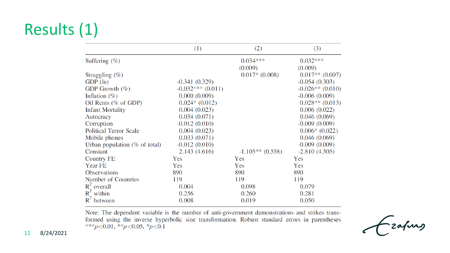# Results (1)

|                                  | (1)                    | (2)                | (3)                |
|----------------------------------|------------------------|--------------------|--------------------|
| Suffering $(\%)$                 |                        | $0.034***$         | $0.032***$         |
|                                  |                        | (0.009)            | (0.009)            |
| Struggling $(\%)$                |                        | $0.017*(0.008)$    | $0.017**$ (0.007)  |
| $GDP$ (ln)                       | $-0.341(0.329)$        |                    | $-0.054(0.303)$    |
| GDP Growth $(\%)$                | $-0.032$ *** $(0.011)$ |                    | $-0.026**$ (0.010) |
| Inflation $(\%)$                 | 0.000(0.009)           |                    | $-0.006(0.009)$    |
| Oil Rents ( $%$ of GDP)          | $0.024*(0.012)$        |                    | $0.028**$ (0.013)  |
| <b>Infant Mortality</b>          | 0.004(0.023)           |                    | 0.006(0.022)       |
| Autocracy                        | 0.034(0.071)           |                    | 0.046(0.069)       |
| Corruption                       | $-0.012(0.010)$        |                    | $-0.009(0.009)$    |
| <b>Political Terror Scale</b>    | 0.004(0.023)           |                    | $0.006*(0.022)$    |
| Mobile phones                    | 0.033(0.071)           |                    | 0.046(0.069)       |
| Urban population ( $%$ of total) | $-0.012(0.010)$        |                    | $-0.009(0.009)$    |
| Constant                         | 2.143(4.616)           | $-1.105**$ (0.558) | $-2.810(4.505)$    |
| <b>Country FE</b>                | Yes                    | Yes                | Yes                |
| Year FE                          | Yes                    | Yes                | Yes                |
| <b>Observations</b>              | 890                    | 890                | 890                |
| Number of Countries              | 119                    | 119                | 119                |
| $R^2$ overall                    | 0.004                  | 0.098              | 0.079              |
| $R^2$ within                     | 0.256                  | 0.260              | 0.281              |
| $R^2$ between                    | 0.008                  | 0.019              | 0.050              |

Note: The dependent variable is the number of anti-government demonstrations and strikes transformed using the inverse hyperbolic sine transformation. Robust standard errors in parentheses \*\*\*p<0.01, \*\*p<0.05, \*p<0.1

-zafung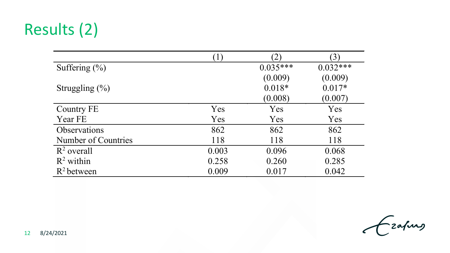# Results (2)

| Suffering $(\% )$   |            | $0.035***$ | $0.032***$ |
|---------------------|------------|------------|------------|
|                     |            | (0.009)    | (0.009)    |
| Struggling $(\%)$   |            | $0.018*$   | $0.017*$   |
|                     |            | (0.008)    | (0.007)    |
| <b>Country FE</b>   | <b>Yes</b> | Yes        | Yes        |
| Year FE             | Yes        | Yes        | Yes        |
| <b>Observations</b> | 862        | 862        | 862        |
| Number of Countries | 118        | 118        | 118        |
| $R^2$ overall       | 0.003      | 0.096      | 0.068      |
| $R^2$ within        | 0.258      | 0.260      | 0.285      |
| $R^2$ between       | 0.009      | 0.017      | 0.042      |

Czafurz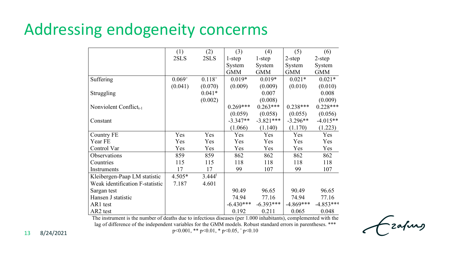#### Addressing endogeneity concerms

|                                 | (1)         | (2)               | (3)         | (4)         | (5)         | (6)         |
|---------------------------------|-------------|-------------------|-------------|-------------|-------------|-------------|
|                                 | 2SLS        | 2SLS              | $1$ -step   | $1$ -step   | $2$ -step   | $2$ -step   |
|                                 |             |                   | System      | System      | System      | System      |
|                                 |             |                   | <b>GMM</b>  | <b>GMM</b>  | <b>GMM</b>  | <b>GMM</b>  |
| Suffering                       | $0.069^{+}$ | $0.118^{+}$       | $0.019*$    | $0.019*$    | $0.021*$    | $0.021*$    |
|                                 | (0.041)     | (0.070)           | (0.009)     | (0.009)     | (0.010)     | (0.010)     |
| Struggling                      |             | $0.041*$          |             | 0.007       |             | 0.008       |
|                                 |             | (0.002)           |             | (0.008)     |             | (0.009)     |
| Nonviolent Conflict $_{t-1}$    |             |                   | $0.269***$  | $0.263***$  | $0.238***$  | $0.228***$  |
|                                 |             |                   | (0.059)     | (0.058)     | (0.055)     | (0.056)     |
| Constant                        |             |                   | $-3.347**$  | $-3.821***$ | $-3.296**$  | $-4.015**$  |
|                                 |             |                   | (1.066)     | (1.140)     | (1.170)     | (1.223)     |
| <b>Country FE</b>               | Yes         | Yes               | Yes         | Yes         | Yes         | Yes         |
| Year FE                         | Yes         | Yes               | Yes         | Yes         | Yes         | Yes         |
| Control Var                     | Yes         | Yes               | Yes         | Yes         | Yes         | Yes         |
| Observations                    | 859         | 859               | 862         | 862         | 862         | 862         |
| Countries                       | 115         | 115               | 118         | 118         | 118         | 118         |
| Instruments                     | 17          | 17                | 99          | 107         | 99          | 107         |
| Kleibergen-Paap LM statistic    | $4.505*$    | $3.444^{\dagger}$ |             |             |             |             |
| Weak identification F-statistic | 7.187       | 4.601             |             |             |             |             |
| Sargan test                     |             |                   | 90.49       | 96.65       | 90.49       | 96.65       |
| Hansen J statistic              |             |                   | 74.94       | 77.16       | 74.94       | 77.16       |
| AR1 test                        |             |                   | $-6.430***$ | $-6.393***$ | $-4.869***$ | $-4.853***$ |
| AR <sub>2</sub> test            |             |                   |             |             |             |             |

The instrument is the number of deaths due to infectious diseases (per 1.000 inhabitants), complemented with the lag of difference of the independent variables for the GMM models. Robust standard errors in parentheses. \*\*\* p<0.001, \*\* p<0.01, \* p<0.05, + p<0.10

zafung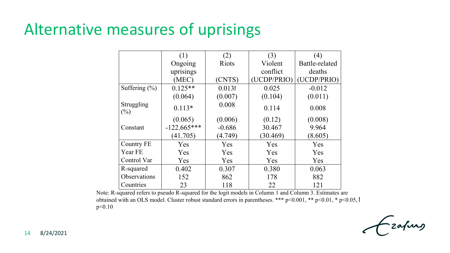### Alternative measures of uprisings

|                      | (1)           | (2)          | (3)         | (4)            |
|----------------------|---------------|--------------|-------------|----------------|
|                      | Ongoing       | <b>Riots</b> | Violent     | Battle-related |
|                      | uprisings     |              | conflict    | deaths         |
|                      | (MEC)         | (CNTS)       | (UCDP/PRIO) | (UCDP/PRIO)    |
| Suffering $(\%)$     | $0.125**$     | 0.0131       | 0.025       | $-0.012$       |
|                      | (0.064)       | (0.007)      | (0.104)     | (0.011)        |
| Struggling<br>$(\%)$ | $0.113*$      | 0.008        | 0.114       | 0.008          |
|                      | (0.065)       | (0.006)      | (0.12)      | (0.008)        |
| Constant             | $-122.665***$ | $-0.686$     | 30.467      | 9.964          |
|                      | (41.705)      | (4.749)      | (30.469)    | (8.605)        |
| <b>Country FE</b>    | Yes           | Yes          | Yes         | Yes            |
| Year FE              | Yes           | Yes          | Yes         | Yes            |
| Control Var          | Yes           | Yes          | Yes         | Yes            |
| R-squared            | 0.402         | 0.307        | 0.380       | 0.063          |
| Observations         | 152           | 862          | 178         | 882            |
| Countries            | 23            | 118          | 22          | 121            |

Note: R-squared refers to pseudo R-squared for the logit models in Column 1 and Column 3. Estimates are obtained with an OLS model. Cluster robust standard errors in parentheses. \*\*\* p<0.001, \*\* p<0.01, \* p<0.05, I p<0.10

-zafurs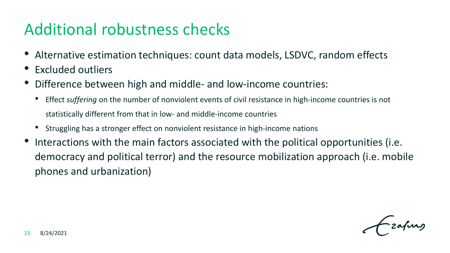### Additional robustness checks

- Alternative estimation techniques: count data models, LSDVC, random effects
- Excluded outliers
- Difference between high and middle- and low-income countries:
	- Effect *suffering* on the number of nonviolent events of civil resistance in high-income countries is not statistically different from that in low- and middle-income countries
	- Struggling has a stronger effect on nonviolent resistance in high-income nations
- Interactions with the main factors associated with the political opportunities (i.e. democracy and political terror) and the resource mobilization approach (i.e. mobile phones and urbanization)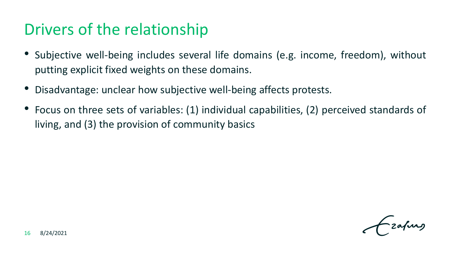#### Drivers of the relationship

- Subjective well-being includes several life domains (e.g. income, freedom), without putting explicit fixed weights on these domains.
- Disadvantage: unclear how subjective well-being affects protests.
- Focus on three sets of variables: (1) individual capabilities, (2) perceived standards of living, and (3) the provision of community basics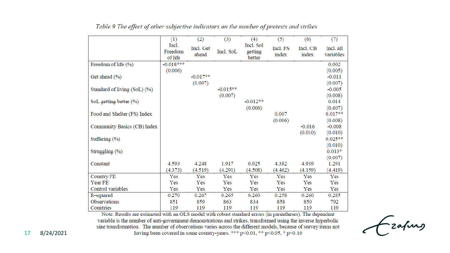|                              | (1)                         | (2)                | (3)        | (4)                            | (5)               | (6)               | (7)                    |
|------------------------------|-----------------------------|--------------------|------------|--------------------------------|-------------------|-------------------|------------------------|
|                              | Incl.<br>Freedom<br>of life | Incl. Get<br>ahead | Incl. SoL  | Incl. Sol<br>getting<br>better | Incl. FS<br>index | Incl. CB<br>index | Incl. all<br>variables |
| Freedom of life (%)          | $-0.018***$                 |                    |            |                                |                   |                   | 0.002                  |
|                              | (0.006)                     |                    |            |                                |                   |                   | (0.005)                |
| Get ahead (%)                |                             | $-0.017**$         |            |                                |                   |                   | $-0.011$               |
|                              |                             | (0.007)            |            |                                |                   |                   | (0.007)                |
| Standard of living (SoL) (%) |                             |                    | $-0.015**$ |                                |                   |                   | $-0.005$               |
|                              |                             |                    | (0.007)    |                                |                   |                   | (0.008)                |
| SoL getting better (%)       |                             |                    |            | $-0.012**$                     |                   |                   | 0.014                  |
|                              |                             |                    |            | (0.006)                        |                   |                   | (0.607)                |
| Food and Shelter (FS) Index  |                             |                    |            |                                | 0.007             |                   | $0.017**$              |
|                              |                             |                    |            |                                | (0.006)           |                   | (0.008)                |
| Community Basics (CB) Index  |                             |                    |            |                                |                   | $-0.016$          | $-0.008$               |
|                              |                             |                    |            |                                |                   | (0.010)           | (0.010)                |
| Suffering (%)                |                             |                    |            |                                |                   |                   | $0.025**$              |
|                              |                             |                    |            |                                |                   |                   | (0.010)                |
| Struggling (%)               |                             |                    |            |                                |                   |                   | $0.013*$               |
|                              |                             |                    |            |                                |                   |                   | (0.007)                |
| Constant                     | 4.593                       | 4.248              | 1.917      | 0.925                          | 4.382             | 4.939             | 1.291                  |
|                              | (4.373)                     | (4.519)            | (4.291)    | (4.508)                        | (4.462)           | (4.159)           | (4.419)                |
| <b>Country FE</b>            | Yes                         | Yes                | Yes        | Yes                            | Yes               | Yes               | Yes                    |
| Year FE                      | Yes                         | Yes                | Yes        | Yes                            | Yes               | Yes               | Yes                    |
| Control variables            | Yes                         | Yes                | Yes        | Yes                            | Yes               | Yes               | Yes                    |
| R-squared                    | 0.270                       | 0.267              | 0.265      | 0.260                          | 0.258             | 0.260             | 0.285                  |
| Observations                 | 851                         | 859                | 863        | 834                            | 858               | 850               | 792                    |
| Countries                    | 119                         | 119                | 119        | 119                            | 119               | 119               | 119                    |

Table 9 The effect of other subjective indicators on the number of protests and strikes

Note: Results are estimated with an OLS model with robust standard errors (in parentheses). The dependent variable is the number of anti-government demonstrations and strikes, transformed using the inverse hyperbolic sine transformation. The number of observations varies across the different models, because of survey items not having been covered in some country-years. \*\*\* p<0.01, \*\* p<0.05, \* p<0.10

Ezafung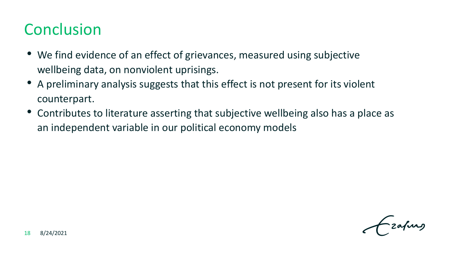#### **Conclusion**

- We find evidence of an effect of grievances, measured using subjective wellbeing data, on nonviolent uprisings.
- A preliminary analysis suggests that this effect is not present for its violent counterpart.
- Contributes to literature asserting that subjective wellbeing also has a place as an independent variable in our political economy models